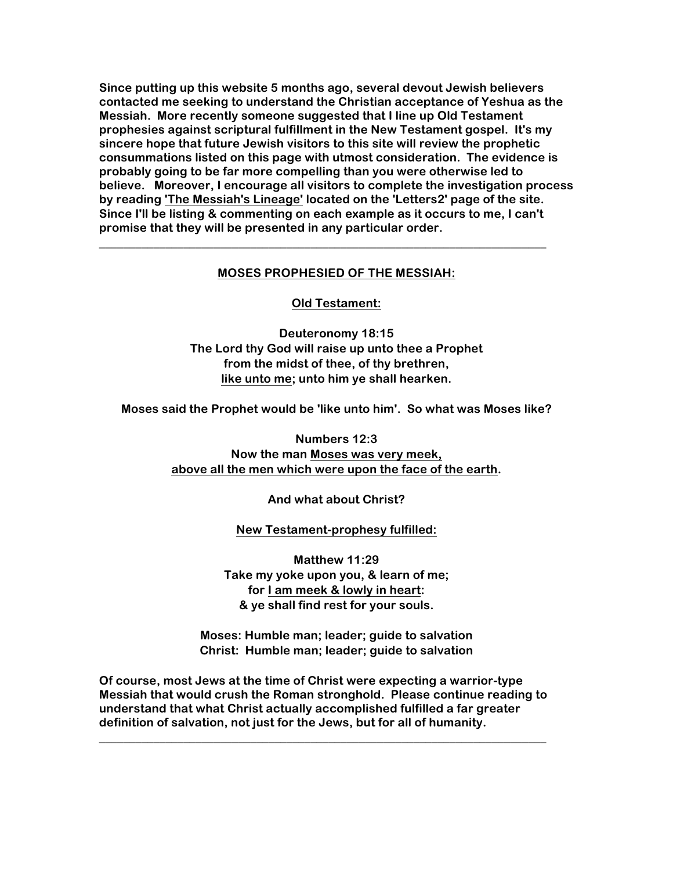**Since putting up this website 5 months ago, several devout Jewish believers contacted me seeking to understand the Christian acceptance of Yeshua as the Messiah. More recently someone suggested that I line up Old Testament prophesies against scriptural fulfillment in the New Testament gospel. It's my sincere hope that future Jewish visitors to this site will review the prophetic consummations listed on this page with utmost consideration. The evidence is probably going to be far more compelling than you were otherwise led to believe. Moreover, I encourage all visitors to complete the investigation process by reading 'The Messiah's Lineage' located on the 'Letters2' page of the site. Since I'll be listing & commenting on each example as it occurs to me, I can't promise that they will be presented in any particular order.**

## **MOSES PROPHESIED OF THE MESSIAH:**

**\_\_\_\_\_\_\_\_\_\_\_\_\_\_\_\_\_\_\_\_\_\_\_\_\_\_\_\_\_\_\_\_\_\_\_\_\_\_\_\_\_\_\_\_\_\_\_\_\_\_\_\_\_\_\_\_\_\_\_\_\_\_\_\_\_\_\_\_\_\_\_\_\_\_**

## **Old Testament:**

**Deuteronomy 18:15 The Lord thy God will raise up unto thee a Prophet from the midst of thee, of thy brethren, like unto me; unto him ye shall hearken.**

**Moses said the Prophet would be 'like unto him'. So what was Moses like?**

**Numbers 12:3**

**Now the man Moses was very meek, above all the men which were upon the face of the earth.**

**And what about Christ?**

# **New Testament-prophesy fulfilled:**

**Matthew 11:29 Take my yoke upon you, & learn of me; for I am meek & lowly in heart: & ye shall find rest for your souls.**

**Moses: Humble man; leader; guide to salvation Christ: Humble man; leader; guide to salvation**

**Of course, most Jews at the time of Christ were expecting a warrior-type Messiah that would crush the Roman stronghold. Please continue reading to understand that what Christ actually accomplished fulfilled a far greater definition of salvation, not just for the Jews, but for all of humanity.**

**\_\_\_\_\_\_\_\_\_\_\_\_\_\_\_\_\_\_\_\_\_\_\_\_\_\_\_\_\_\_\_\_\_\_\_\_\_\_\_\_\_\_\_\_\_\_\_\_\_\_\_\_\_\_\_\_\_\_\_\_\_\_\_\_\_\_\_\_\_\_\_\_\_\_**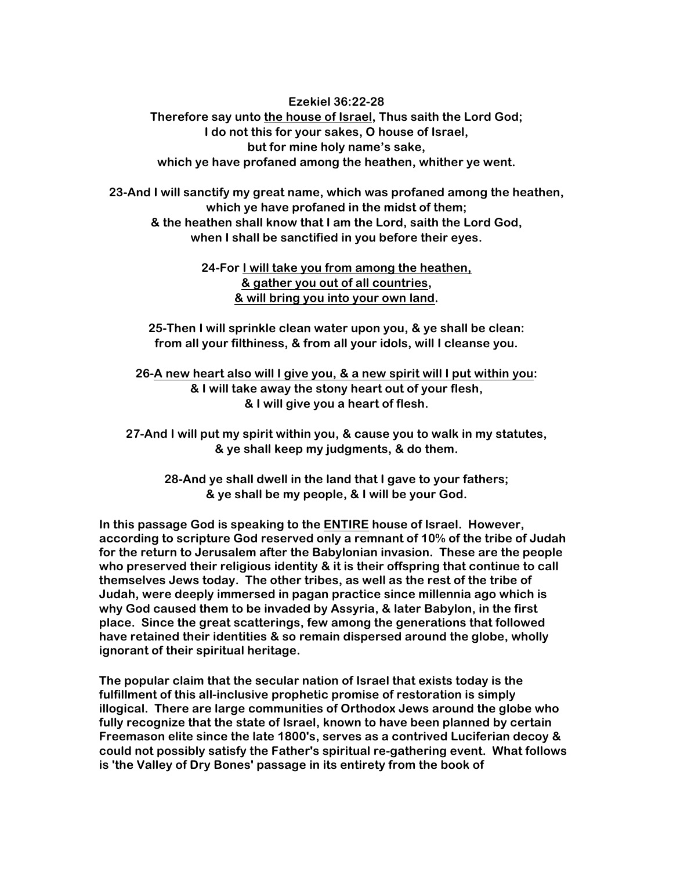**Ezekiel 36:22-28 Therefore say unto the house of Israel, Thus saith the Lord God; I do not this for your sakes, O house of Israel, but for mine holy name's sake, which ye have profaned among the heathen, whither ye went.**

**23-And I will sanctify my great name, which was profaned among the heathen, which ye have profaned in the midst of them; & the heathen shall know that I am the Lord, saith the Lord God, when I shall be sanctified in you before their eyes.**

## **24-For I will take you from among the heathen, & gather you out of all countries, & will bring you into your own land.**

**25-Then I will sprinkle clean water upon you, & ye shall be clean: from all your filthiness, & from all your idols, will I cleanse you.**

**26-A new heart also will I give you, & a new spirit will I put within you: & I will take away the stony heart out of your flesh, & I will give you a heart of flesh.**

**27-And I will put my spirit within you, & cause you to walk in my statutes, & ye shall keep my judgments, & do them.**

**28-And ye shall dwell in the land that I gave to your fathers; & ye shall be my people, & I will be your God.**

**In this passage God is speaking to the ENTIRE house of Israel. However, according to scripture God reserved only a remnant of 10% of the tribe of Judah for the return to Jerusalem after the Babylonian invasion. These are the people who preserved their religious identity & it is their offspring that continue to call themselves Jews today. The other tribes, as well as the rest of the tribe of Judah, were deeply immersed in pagan practice since millennia ago which is why God caused them to be invaded by Assyria, & later Babylon, in the first place. Since the great scatterings, few among the generations that followed have retained their identities & so remain dispersed around the globe, wholly ignorant of their spiritual heritage.**

**The popular claim that the secular nation of Israel that exists today is the fulfillment of this all-inclusive prophetic promise of restoration is simply illogical. There are large communities of Orthodox Jews around the globe who fully recognize that the state of Israel, known to have been planned by certain Freemason elite since the late 1800's, serves as a contrived Luciferian decoy & could not possibly satisfy the Father's spiritual re-gathering event. What follows is 'the Valley of Dry Bones' passage in its entirety from the book of**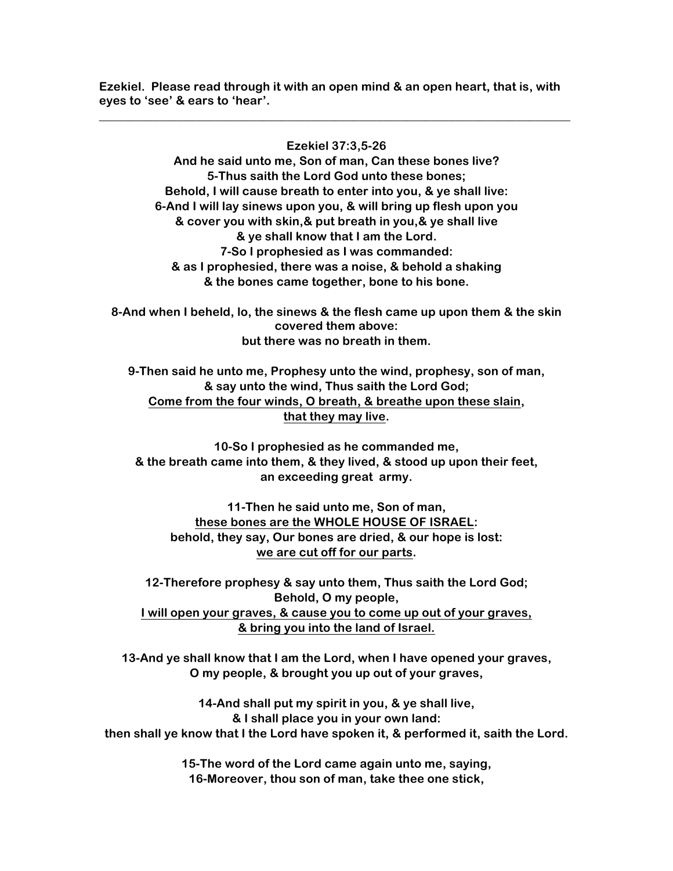**Ezekiel. Please read through it with an open mind & an open heart, that is, with eyes to 'see' & ears to 'hear'.**

**\_\_\_\_\_\_\_\_\_\_\_\_\_\_\_\_\_\_\_\_\_\_\_\_\_\_\_\_\_\_\_\_\_\_\_\_\_\_\_\_\_\_\_\_\_\_\_\_\_\_\_\_\_\_\_\_\_\_\_\_\_\_\_\_\_\_\_\_\_\_\_\_\_\_\_\_\_\_**

## **Ezekiel 37:3,5-26**

**And he said unto me, Son of man, Can these bones live? 5-Thus saith the Lord God unto these bones; Behold, I will cause breath to enter into you, & ye shall live: 6-And I will lay sinews upon you, & will bring up flesh upon you & cover you with skin,& put breath in you,& ye shall live & ye shall know that I am the Lord. 7-So I prophesied as I was commanded: & as I prophesied, there was a noise, & behold a shaking & the bones came together, bone to his bone.**

**8-And when I beheld, lo, the sinews & the flesh came up upon them & the skin covered them above: but there was no breath in them.**

**9-Then said he unto me, Prophesy unto the wind, prophesy, son of man, & say unto the wind, Thus saith the Lord God; Come from the four winds, O breath, & breathe upon these slain, that they may live.**

**10-So I prophesied as he commanded me, & the breath came into them, & they lived, & stood up upon their feet, an exceeding great army.**

**11-Then he said unto me, Son of man, these bones are the WHOLE HOUSE OF ISRAEL: behold, they say, Our bones are dried, & our hope is lost: we are cut off for our parts.**

**12-Therefore prophesy & say unto them, Thus saith the Lord God; Behold, O my people, I will open your graves, & cause you to come up out of your graves, & bring you into the land of Israel.**

**13-And ye shall know that I am the Lord, when I have opened your graves, O my people, & brought you up out of your graves,** 

**14-And shall put my spirit in you, & ye shall live, & I shall place you in your own land: then shall ye know that I the Lord have spoken it, & performed it, saith the Lord.**

> **15-The word of the Lord came again unto me, saying, 16-Moreover, thou son of man, take thee one stick,**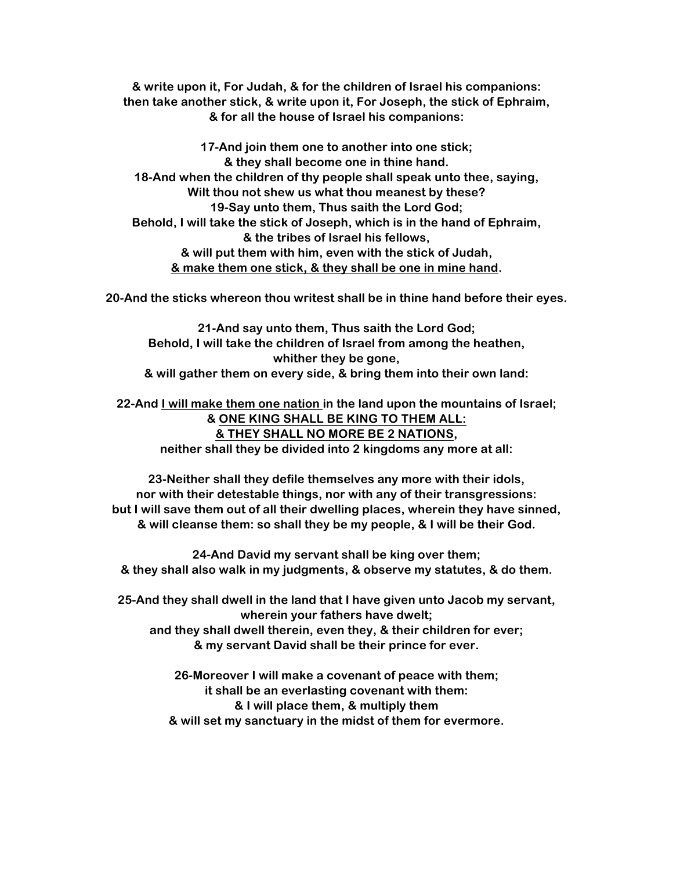**& write upon it, For Judah, & for the children of Israel his companions: then take another stick, & write upon it, For Joseph, the stick of Ephraim, & for all the house of Israel his companions:**

**17-And join them one to another into one stick; & they shall become one in thine hand. 18-And when the children of thy people shall speak unto thee, saying, Wilt thou not shew us what thou meanest by these? 19-Say unto them, Thus saith the Lord God; Behold, I will take the stick of Joseph, which is in the hand of Ephraim, & the tribes of Israel his fellows, & will put them with him, even with the stick of Judah, & make them one stick, & they shall be one in mine hand.** 

**20-And the sticks whereon thou writest shall be in thine hand before their eyes.** 

**21-And say unto them, Thus saith the Lord God; Behold, I will take the children of Israel from among the heathen, whither they be gone, & will gather them on every side, & bring them into their own land:**

**22-And I will make them one nation in the land upon the mountains of Israel; & ONE KING SHALL BE KING TO THEM ALL: & THEY SHALL NO MORE BE 2 NATIONS, neither shall they be divided into 2 kingdoms any more at all:**

**23-Neither shall they defile themselves any more with their idols, nor with their detestable things, nor with any of their transgressions: but I will save them out of all their dwelling places, wherein they have sinned, & will cleanse them: so shall they be my people, & I will be their God.**

**24-And David my servant shall be king over them; & they shall also walk in my judgments, & observe my statutes, & do them.**

**25-And they shall dwell in the land that I have given unto Jacob my servant, wherein your fathers have dwelt; and they shall dwell therein, even they, & their children for ever; & my servant David shall be their prince for ever.**

> **26-Moreover I will make a covenant of peace with them; it shall be an everlasting covenant with them: & I will place them, & multiply them & will set my sanctuary in the midst of them for evermore.**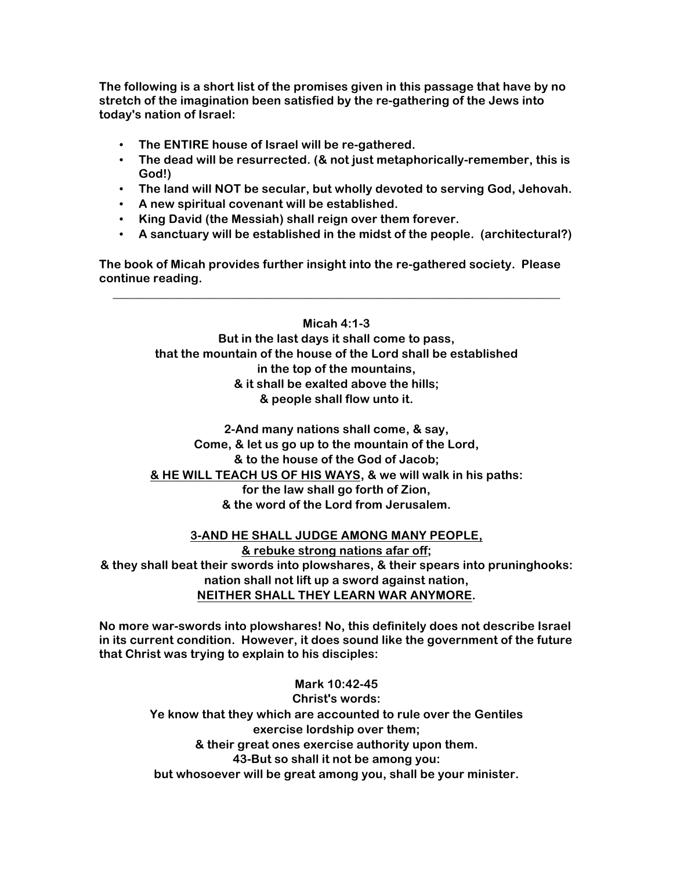**The following is a short list of the promises given in this passage that have by no stretch of the imagination been satisfied by the re-gathering of the Jews into today's nation of Israel:**

- **The ENTIRE house of Israel will be re-gathered.**
- **The dead will be resurrected. (& not just metaphorically-remember, this is God!)**
- **The land will NOT be secular, but wholly devoted to serving God, Jehovah.**
- **A new spiritual covenant will be established.**
- **King David (the Messiah) shall reign over them forever.**
- **A sanctuary will be established in the midst of the people. (architectural?)**

**The book of Micah provides further insight into the re-gathered society. Please continue reading.**

## **Micah 4:1-3**

**\_\_\_\_\_\_\_\_\_\_\_\_\_\_\_\_\_\_\_\_\_\_\_\_\_\_\_\_\_\_\_\_\_\_\_\_\_\_\_\_\_\_\_\_\_\_\_\_\_\_\_\_\_\_\_\_\_\_\_\_\_\_\_\_\_\_\_\_\_\_\_\_\_\_**

**But in the last days it shall come to pass, that the mountain of the house of the Lord shall be established in the top of the mountains, & it shall be exalted above the hills; & people shall flow unto it.**

**2-And many nations shall come, & say, Come, & let us go up to the mountain of the Lord, & to the house of the God of Jacob; & HE WILL TEACH US OF HIS WAYS, & we will walk in his paths: for the law shall go forth of Zion, & the word of the Lord from Jerusalem.**

## **3-AND HE SHALL JUDGE AMONG MANY PEOPLE, & rebuke strong nations afar off; & they shall beat their swords into plowshares, & their spears into pruninghooks: nation shall not lift up a sword against nation, NEITHER SHALL THEY LEARN WAR ANYMORE.**

**No more war-swords into plowshares! No, this definitely does not describe Israel in its current condition. However, it does sound like the government of the future that Christ was trying to explain to his disciples:**

**Mark 10:42-45 Christ's words: Ye know that they which are accounted to rule over the Gentiles exercise lordship over them; & their great ones exercise authority upon them. 43-But so shall it not be among you: but whosoever will be great among you, shall be your minister.**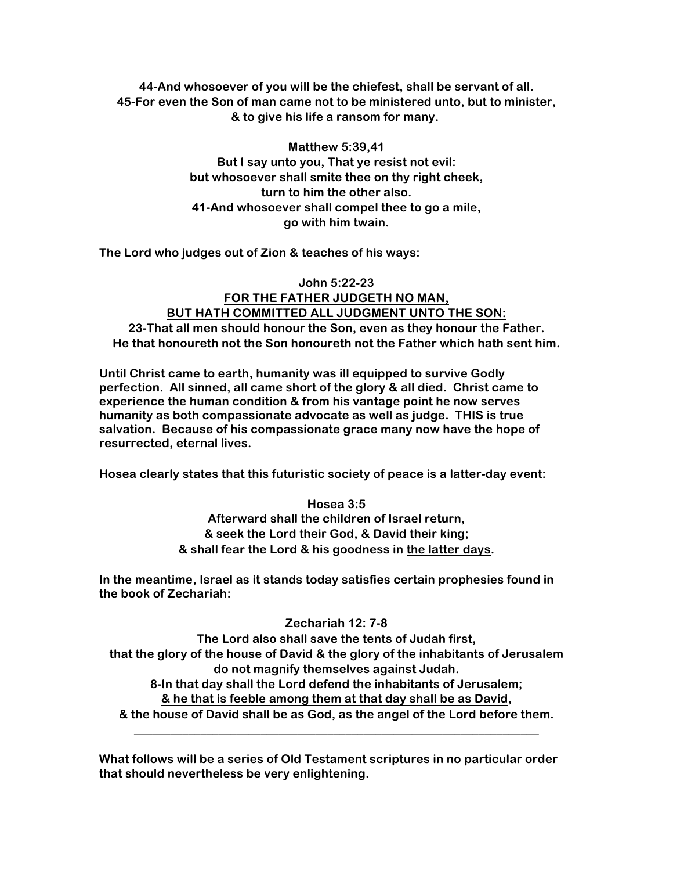**44-And whosoever of you will be the chiefest, shall be servant of all. 45-For even the Son of man came not to be ministered unto, but to minister, & to give his life a ransom for many.**

> **Matthew 5:39,41 But I say unto you, That ye resist not evil: but whosoever shall smite thee on thy right cheek, turn to him the other also. 41-And whosoever shall compel thee to go a mile, go with him twain.**

**The Lord who judges out of Zion & teaches of his ways:**

# **John 5:22-23 FOR THE FATHER JUDGETH NO MAN, BUT HATH COMMITTED ALL JUDGMENT UNTO THE SON: 23-That all men should honour the Son, even as they honour the Father. He that honoureth not the Son honoureth not the Father which hath sent him.**

**Until Christ came to earth, humanity was ill equipped to survive Godly perfection. All sinned, all came short of the glory & all died. Christ came to experience the human condition & from his vantage point he now serves humanity as both compassionate advocate as well as judge. THIS is true salvation. Because of his compassionate grace many now have the hope of resurrected, eternal lives.**

**Hosea clearly states that this futuristic society of peace is a latter-day event:**

# **Hosea 3:5 Afterward shall the children of Israel return, & seek the Lord their God, & David their king; & shall fear the Lord & his goodness in the latter days.**

**In the meantime, Israel as it stands today satisfies certain prophesies found in the book of Zechariah:**

# **Zechariah 12: 7-8**

**The Lord also shall save the tents of Judah first, that the glory of the house of David & the glory of the inhabitants of Jerusalem do not magnify themselves against Judah. 8-In that day shall the Lord defend the inhabitants of Jerusalem; & he that is feeble among them at that day shall be as David, & the house of David shall be as God, as the angel of the Lord before them.**

**\_\_\_\_\_\_\_\_\_\_\_\_\_\_\_\_\_\_\_\_\_\_\_\_\_\_\_\_\_\_\_\_\_\_\_\_\_\_\_\_\_\_\_\_\_\_\_\_\_\_\_\_\_\_\_\_\_\_\_\_\_\_\_\_\_\_\_**

**What follows will be a series of Old Testament scriptures in no particular order that should nevertheless be very enlightening.**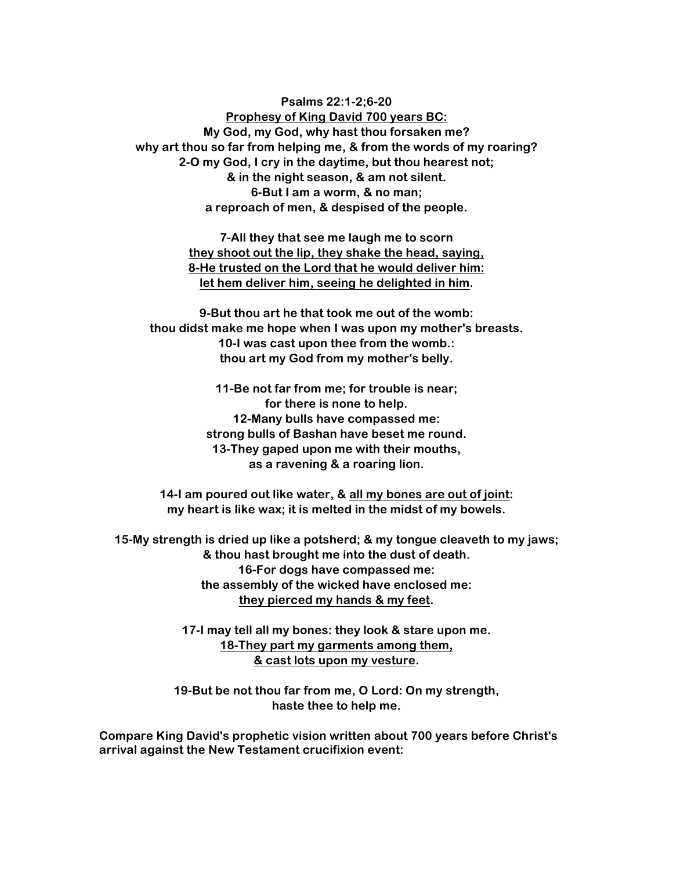**Psalms 22:1-2;6-20**

**Prophesy of King David 700 years BC: My God, my God, why hast thou forsaken me? why art thou so far from helping me, & from the words of my roaring? 2-O my God, I cry in the daytime, but thou hearest not; & in the night season, & am not silent. 6-But I am a worm, & no man; a reproach of men, & despised of the people.**

> **7-All they that see me laugh me to scorn they shoot out the lip, they shake the head, saying, 8-He trusted on the Lord that he would deliver him: let hem deliver him, seeing he delighted in him.**

**9-But thou art he that took me out of the womb: thou didst make me hope when I was upon my mother's breasts. 10-I was cast upon thee from the womb.: thou art my God from my mother's belly.**

> **11-Be not far from me; for trouble is near; for there is none to help. 12-Many bulls have compassed me: strong bulls of Bashan have beset me round. 13-They gaped upon me with their mouths, as a ravening & a roaring lion.**

**14-I am poured out like water, & all my bones are out of joint: my heart is like wax; it is melted in the midst of my bowels.**

**15-My strength is dried up like a potsherd; & my tongue cleaveth to my jaws; & thou hast brought me into the dust of death. 16-For dogs have compassed me: the assembly of the wicked have enclosed me: they pierced my hands & my feet.**

> **17-I may tell all my bones: they look & stare upon me. 18-They part my garments among them, & cast lots upon my vesture.**

**19-But be not thou far from me, O Lord: On my strength, haste thee to help me.**

**Compare King David's prophetic vision written about 700 years before Christ's arrival against the New Testament crucifixion event:**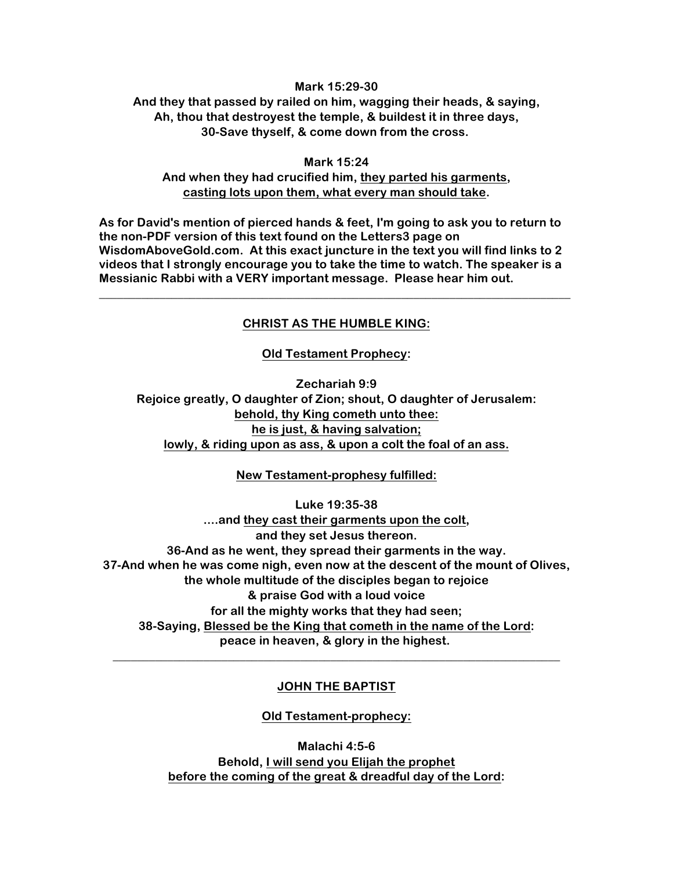## **Mark 15:29-30**

**And they that passed by railed on him, wagging their heads, & saying, Ah, thou that destroyest the temple, & buildest it in three days, 30-Save thyself, & come down from the cross.**

**Mark 15:24 And when they had crucified him, they parted his garments, casting lots upon them, what every man should take.**

**As for David's mention of pierced hands & feet, I'm going to ask you to return to the non-PDF version of this text found on the Letters3 page on WisdomAboveGold.com. At this exact juncture in the text you will find links to 2 videos that I strongly encourage you to take the time to watch. The speaker is a Messianic Rabbi with a VERY important message. Please hear him out.**

## **CHRIST AS THE HUMBLE KING:**

**\_\_\_\_\_\_\_\_\_\_\_\_\_\_\_\_\_\_\_\_\_\_\_\_\_\_\_\_\_\_\_\_\_\_\_\_\_\_\_\_\_\_\_\_\_\_\_\_\_\_\_\_\_\_\_\_\_\_\_\_\_\_\_\_\_\_\_\_\_\_\_\_\_\_\_\_\_\_**

**Old Testament Prophecy:**

**Zechariah 9:9 Rejoice greatly, O daughter of Zion; shout, O daughter of Jerusalem: behold, thy King cometh unto thee: he is just, & having salvation; lowly, & riding upon as ass, & upon a colt the foal of an ass.**

**New Testament-prophesy fulfilled:**

**Luke 19:35-38**

**....and they cast their garments upon the colt, and they set Jesus thereon. 36-And as he went, they spread their garments in the way. 37-And when he was come nigh, even now at the descent of the mount of Olives, the whole multitude of the disciples began to rejoice & praise God with a loud voice for all the mighty works that they had seen; 38-Saying, Blessed be the King that cometh in the name of the Lord: peace in heaven, & glory in the highest.**

## **JOHN THE BAPTIST**

**\_\_\_\_\_\_\_\_\_\_\_\_\_\_\_\_\_\_\_\_\_\_\_\_\_\_\_\_\_\_\_\_\_\_\_\_\_\_\_\_\_\_\_\_\_\_\_\_\_\_\_\_\_\_\_\_\_\_\_\_\_\_\_\_\_\_\_\_\_\_\_\_\_\_**

**Old Testament-prophecy:**

**Malachi 4:5-6 Behold, I will send you Elijah the prophet before the coming of the great & dreadful day of the Lord:**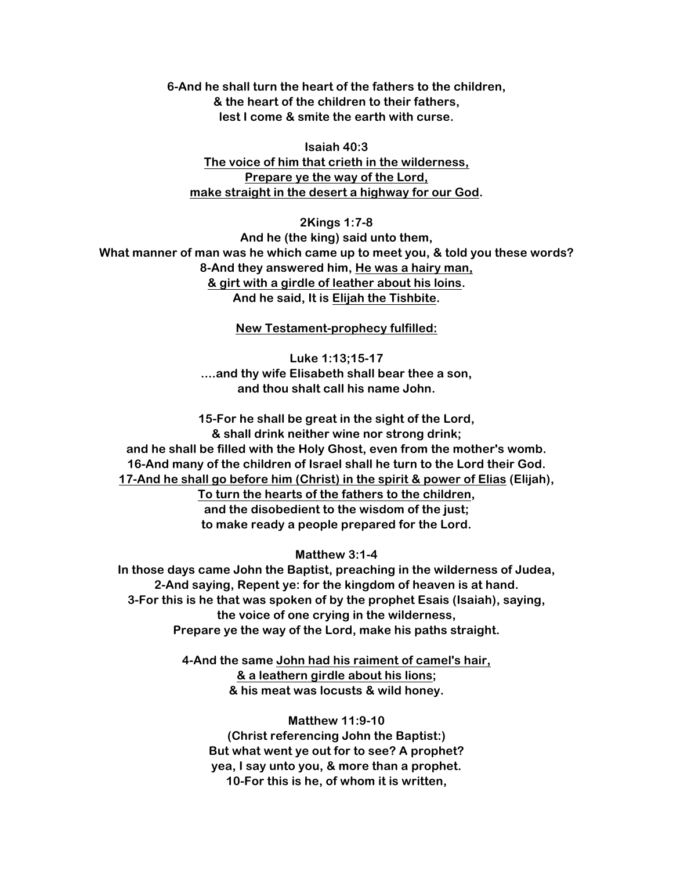**6-And he shall turn the heart of the fathers to the children, & the heart of the children to their fathers, lest I come & smite the earth with curse.**

**Isaiah 40:3 The voice of him that crieth in the wilderness, Prepare ye the way of the Lord, make straight in the desert a highway for our God.**

**2Kings 1:7-8**

**And he (the king) said unto them, What manner of man was he which came up to meet you, & told you these words? 8-And they answered him, He was a hairy man, & girt with a girdle of leather about his loins. And he said, It is Elijah the Tishbite.**

**New Testament-prophecy fulfilled:**

**Luke 1:13;15-17 ....and thy wife Elisabeth shall bear thee a son, and thou shalt call his name John.**

**15-For he shall be great in the sight of the Lord, & shall drink neither wine nor strong drink; and he shall be filled with the Holy Ghost, even from the mother's womb. 16-And many of the children of Israel shall he turn to the Lord their God. 17-And he shall go before him (Christ) in the spirit & power of Elias (Elijah), To turn the hearts of the fathers to the children, and the disobedient to the wisdom of the just;**

**to make ready a people prepared for the Lord.**

**Matthew 3:1-4**

**In those days came John the Baptist, preaching in the wilderness of Judea, 2-And saying, Repent ye: for the kingdom of heaven is at hand. 3-For this is he that was spoken of by the prophet Esais (Isaiah), saying, the voice of one crying in the wilderness, Prepare ye the way of the Lord, make his paths straight.**

> **4-And the same John had his raiment of camel's hair, & a leathern girdle about his lions; & his meat was locusts & wild honey.**

**Matthew 11:9-10 (Christ referencing John the Baptist:) But what went ye out for to see? A prophet? yea, I say unto you, & more than a prophet. 10-For this is he, of whom it is written,**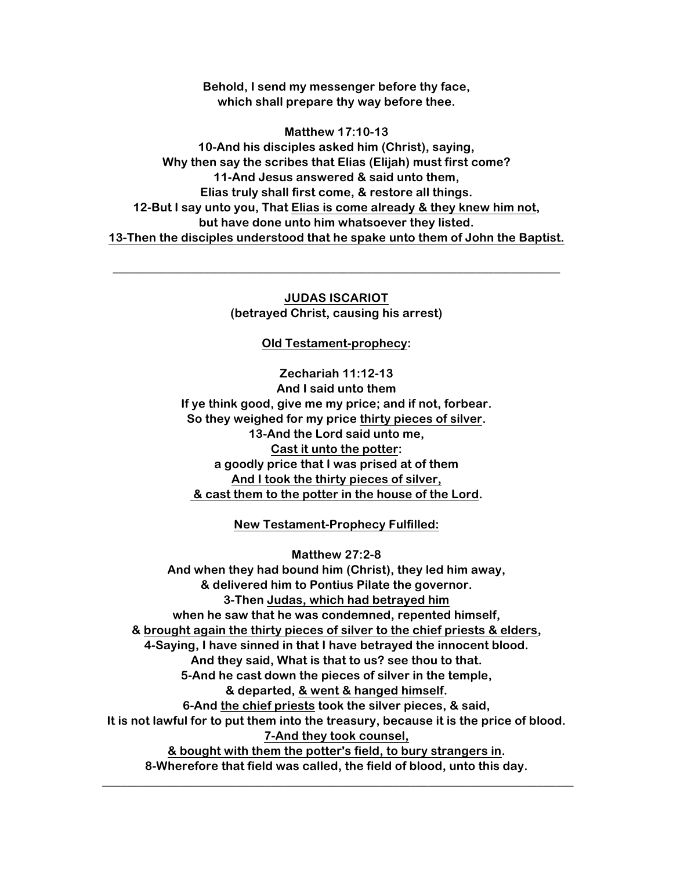**Behold, I send my messenger before thy face, which shall prepare thy way before thee.**

**Matthew 17:10-13 10-And his disciples asked him (Christ), saying, Why then say the scribes that Elias (Elijah) must first come? 11-And Jesus answered & said unto them, Elias truly shall first come, & restore all things. 12-But I say unto you, That Elias is come already & they knew him not, but have done unto him whatsoever they listed. 13-Then the disciples understood that he spake unto them of John the Baptist.**

> **JUDAS ISCARIOT (betrayed Christ, causing his arrest)**

**\_\_\_\_\_\_\_\_\_\_\_\_\_\_\_\_\_\_\_\_\_\_\_\_\_\_\_\_\_\_\_\_\_\_\_\_\_\_\_\_\_\_\_\_\_\_\_\_\_\_\_\_\_\_\_\_\_\_\_\_\_\_\_\_\_\_\_\_\_\_\_\_\_\_**

## **Old Testament-prophecy:**

**Zechariah 11:12-13 And I said unto them If ye think good, give me my price; and if not, forbear. So they weighed for my price thirty pieces of silver. 13-And the Lord said unto me, Cast it unto the potter: a goodly price that I was prised at of them And I took the thirty pieces of silver, & cast them to the potter in the house of the Lord.**

## **New Testament-Prophecy Fulfilled:**

**Matthew 27:2-8 And when they had bound him (Christ), they led him away, & delivered him to Pontius Pilate the governor. 3-Then Judas, which had betrayed him when he saw that he was condemned, repented himself, & brought again the thirty pieces of silver to the chief priests & elders, 4-Saying, I have sinned in that I have betrayed the innocent blood. And they said, What is that to us? see thou to that. 5-And he cast down the pieces of silver in the temple, & departed, & went & hanged himself. 6-And the chief priests took the silver pieces, & said, It is not lawful for to put them into the treasury, because it is the price of blood. 7-And they took counsel, & bought with them the potter's field, to bury strangers in. 8-Wherefore that field was called, the field of blood, unto this day.**

**\_\_\_\_\_\_\_\_\_\_\_\_\_\_\_\_\_\_\_\_\_\_\_\_\_\_\_\_\_\_\_\_\_\_\_\_\_\_\_\_\_\_\_\_\_\_\_\_\_\_\_\_\_\_\_\_\_\_\_\_\_\_\_\_\_\_\_\_\_\_\_\_\_\_\_\_\_\_**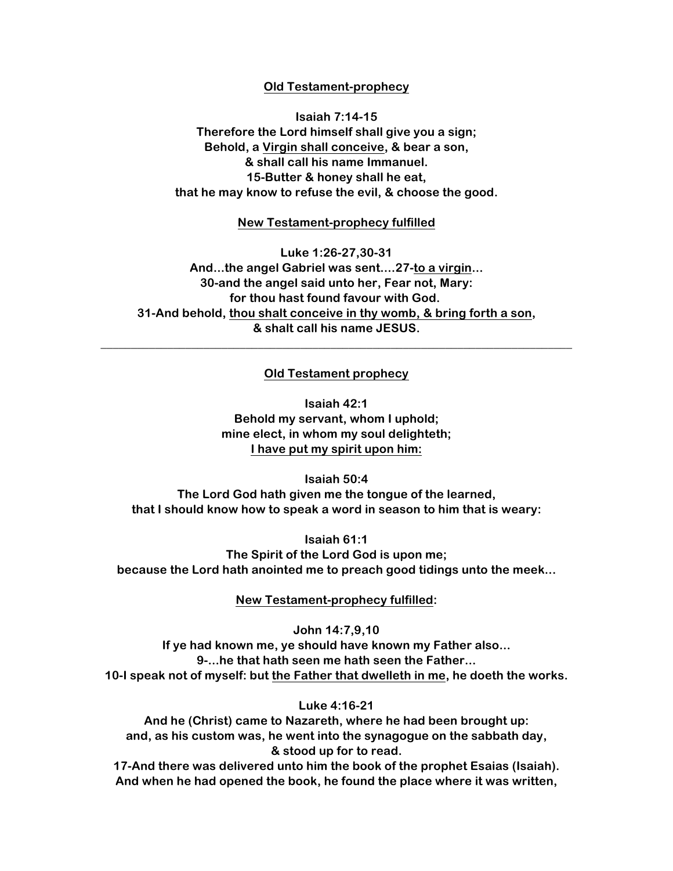### **Old Testament-prophecy**

**Isaiah 7:14-15 Therefore the Lord himself shall give you a sign; Behold, a Virgin shall conceive, & bear a son, & shall call his name Immanuel. 15-Butter & honey shall he eat, that he may know to refuse the evil, & choose the good.**

#### **New Testament-prophecy fulfilled**

**Luke 1:26-27,30-31 And...the angel Gabriel was sent....27-to a virgin... 30-and the angel said unto her, Fear not, Mary: for thou hast found favour with God. 31-And behold, thou shalt conceive in thy womb, & bring forth a son, & shalt call his name JESUS.**

**Old Testament prophecy**

**\_\_\_\_\_\_\_\_\_\_\_\_\_\_\_\_\_\_\_\_\_\_\_\_\_\_\_\_\_\_\_\_\_\_\_\_\_\_\_\_\_\_\_\_\_\_\_\_\_\_\_\_\_\_\_\_\_\_\_\_\_\_\_\_\_\_\_\_\_\_\_\_\_\_\_\_\_\_**

**Isaiah 42:1 Behold my servant, whom I uphold; mine elect, in whom my soul delighteth; I have put my spirit upon him:**

**Isaiah 50:4 The Lord God hath given me the tongue of the learned, that I should know how to speak a word in season to him that is weary:** 

**Isaiah 61:1 The Spirit of the Lord God is upon me; because the Lord hath anointed me to preach good tidings unto the meek...**

**New Testament-prophecy fulfilled:**

**John 14:7,9,10 If ye had known me, ye should have known my Father also... 9-...he that hath seen me hath seen the Father... 10-I speak not of myself: but the Father that dwelleth in me, he doeth the works.**

**Luke 4:16-21**

**And he (Christ) came to Nazareth, where he had been brought up: and, as his custom was, he went into the synagogue on the sabbath day, & stood up for to read.**

**17-And there was delivered unto him the book of the prophet Esaias (Isaiah). And when he had opened the book, he found the place where it was written,**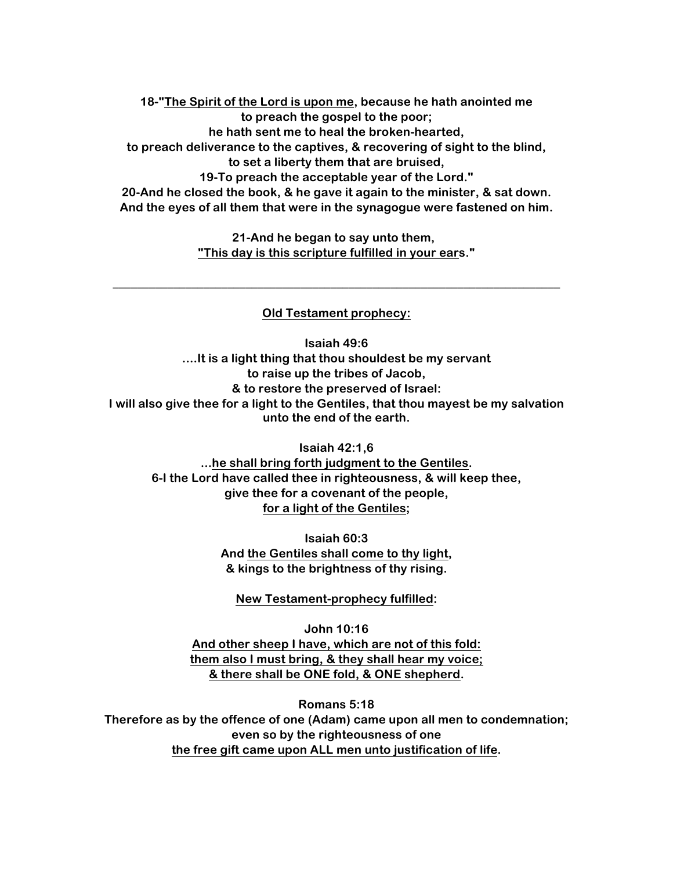**18-"The Spirit of the Lord is upon me, because he hath anointed me to preach the gospel to the poor; he hath sent me to heal the broken-hearted, to preach deliverance to the captives, & recovering of sight to the blind, to set a liberty them that are bruised, 19-To preach the acceptable year of the Lord." 20-And he closed the book, & he gave it again to the minister, & sat down. And the eyes of all them that were in the synagogue were fastened on him.**

> **21-And he began to say unto them, "This day is this scripture fulfilled in your ears."**

## **Old Testament prophecy:**

**\_\_\_\_\_\_\_\_\_\_\_\_\_\_\_\_\_\_\_\_\_\_\_\_\_\_\_\_\_\_\_\_\_\_\_\_\_\_\_\_\_\_\_\_\_\_\_\_\_\_\_\_\_\_\_\_\_\_\_\_\_\_\_\_\_\_\_\_\_\_\_\_\_\_**

**Isaiah 49:6 ....It is a light thing that thou shouldest be my servant to raise up the tribes of Jacob, & to restore the preserved of Israel: I will also give thee for a light to the Gentiles, that thou mayest be my salvation unto the end of the earth.**

**Isaiah 42:1,6 ...he shall bring forth judgment to the Gentiles. 6-I the Lord have called thee in righteousness, & will keep thee, give thee for a covenant of the people, for a light of the Gentiles;**

> **Isaiah 60:3 And the Gentiles shall come to thy light, & kings to the brightness of thy rising.**

**New Testament-prophecy fulfilled:**

**John 10:16 And other sheep I have, which are not of this fold: them also I must bring, & they shall hear my voice; & there shall be ONE fold, & ONE shepherd.**

**Romans 5:18 Therefore as by the offence of one (Adam) came upon all men to condemnation; even so by the righteousness of one the free gift came upon ALL men unto justification of life.**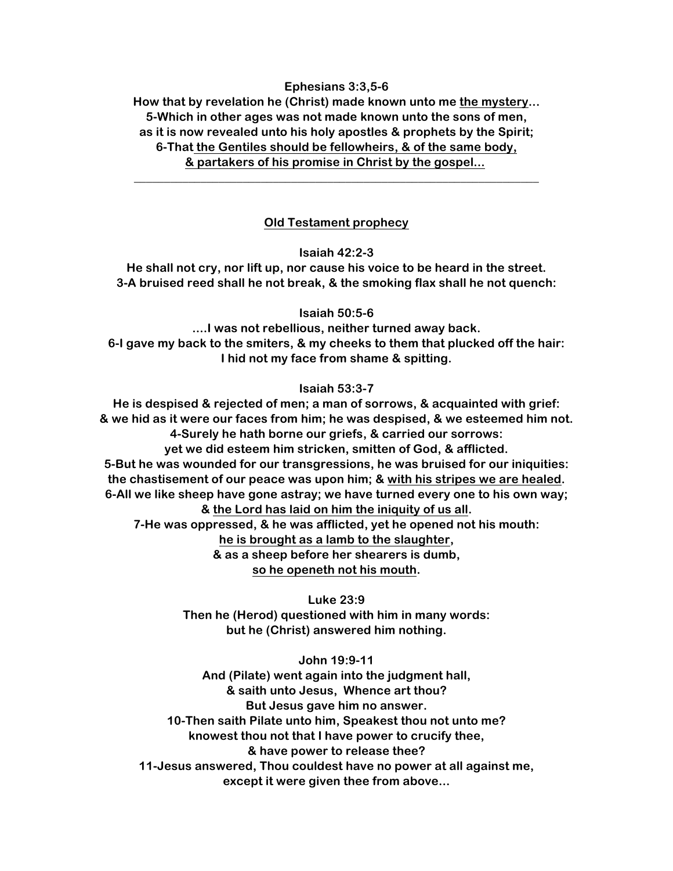## **Ephesians 3:3,5-6**

**How that by revelation he (Christ) made known unto me the mystery... 5-Which in other ages was not made known unto the sons of men, as it is now revealed unto his holy apostles & prophets by the Spirit; 6-That the Gentiles should be fellowheirs, & of the same body, & partakers of his promise in Christ by the gospel...**

### **Old Testament prophecy**

**\_\_\_\_\_\_\_\_\_\_\_\_\_\_\_\_\_\_\_\_\_\_\_\_\_\_\_\_\_\_\_\_\_\_\_\_\_\_\_\_\_\_\_\_\_\_\_\_\_\_\_\_\_\_\_\_\_\_\_\_\_\_\_\_\_\_\_**

#### **Isaiah 42:2-3**

**He shall not cry, nor lift up, nor cause his voice to be heard in the street. 3-A bruised reed shall he not break, & the smoking flax shall he not quench:** 

**Isaiah 50:5-6**

**....I was not rebellious, neither turned away back. 6-I gave my back to the smiters, & my cheeks to them that plucked off the hair: I hid not my face from shame & spitting.**

#### **Isaiah 53:3-7**

**He is despised & rejected of men; a man of sorrows, & acquainted with grief: & we hid as it were our faces from him; he was despised, & we esteemed him not. 4-Surely he hath borne our griefs, & carried our sorrows: yet we did esteem him stricken, smitten of God, & afflicted. 5-But he was wounded for our transgressions, he was bruised for our iniquities: the chastisement of our peace was upon him; & with his stripes we are healed. 6-All we like sheep have gone astray; we have turned every one to his own way; & the Lord has laid on him the iniquity of us all. 7-He was oppressed, & he was afflicted, yet he opened not his mouth: he is brought as a lamb to the slaughter, & as a sheep before her shearers is dumb, so he openeth not his mouth.**

> **Luke 23:9 Then he (Herod) questioned with him in many words: but he (Christ) answered him nothing.**

**John 19:9-11 And (Pilate) went again into the judgment hall, & saith unto Jesus, Whence art thou? But Jesus gave him no answer. 10-Then saith Pilate unto him, Speakest thou not unto me? knowest thou not that I have power to crucify thee, & have power to release thee? 11-Jesus answered, Thou couldest have no power at all against me, except it were given thee from above...**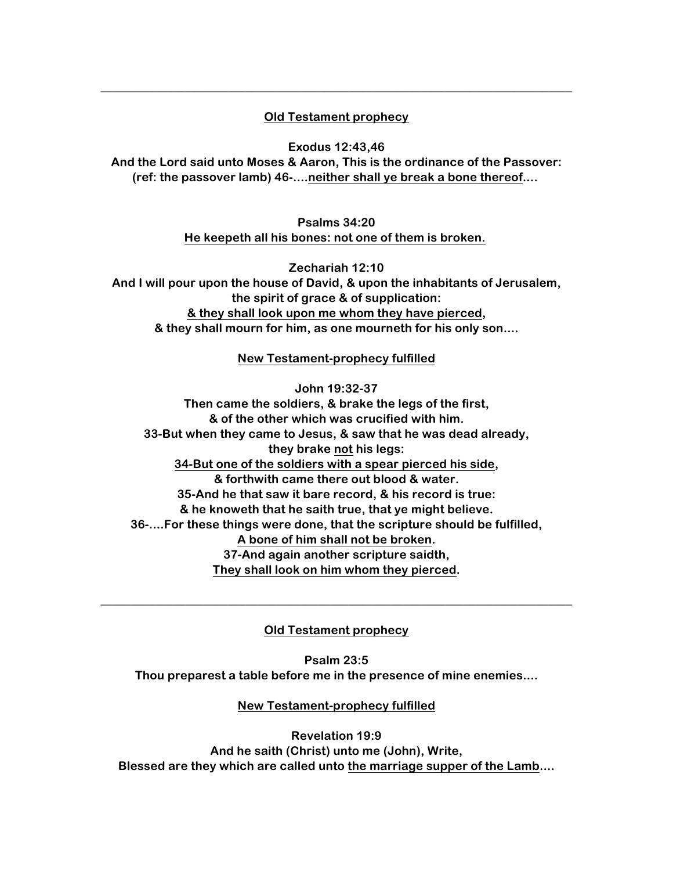# **Old Testament prophecy**

**\_\_\_\_\_\_\_\_\_\_\_\_\_\_\_\_\_\_\_\_\_\_\_\_\_\_\_\_\_\_\_\_\_\_\_\_\_\_\_\_\_\_\_\_\_\_\_\_\_\_\_\_\_\_\_\_\_\_\_\_\_\_\_\_\_\_\_\_\_\_\_\_\_\_\_\_\_\_**

**Exodus 12:43,46**

**And the Lord said unto Moses & Aaron, This is the ordinance of the Passover: (ref: the passover lamb) 46-....neither shall ye break a bone thereof....**

> **Psalms 34:20 He keepeth all his bones: not one of them is broken.**

**Zechariah 12:10 And I will pour upon the house of David, & upon the inhabitants of Jerusalem, the spirit of grace & of supplication: & they shall look upon me whom they have pierced, & they shall mourn for him, as one mourneth for his only son....**

**New Testament-prophecy fulfilled**

**John 19:32-37 Then came the soldiers, & brake the legs of the first, & of the other which was crucified with him. 33-But when they came to Jesus, & saw that he was dead already, they brake not his legs: 34-But one of the soldiers with a spear pierced his side, & forthwith came there out blood & water. 35-And he that saw it bare record, & his record is true: & he knoweth that he saith true, that ye might believe. 36-....For these things were done, that the scripture should be fulfilled, A bone of him shall not be broken. 37-And again another scripture saidth, They shall look on him whom they pierced.**

## **Old Testament prophecy**

**\_\_\_\_\_\_\_\_\_\_\_\_\_\_\_\_\_\_\_\_\_\_\_\_\_\_\_\_\_\_\_\_\_\_\_\_\_\_\_\_\_\_\_\_\_\_\_\_\_\_\_\_\_\_\_\_\_\_\_\_\_\_\_\_\_\_\_\_\_\_\_\_\_\_\_\_\_\_**

**Psalm 23:5 Thou preparest a table before me in the presence of mine enemies....** 

#### **New Testament-prophecy fulfilled**

**Revelation 19:9 And he saith (Christ) unto me (John), Write, Blessed are they which are called unto the marriage supper of the Lamb....**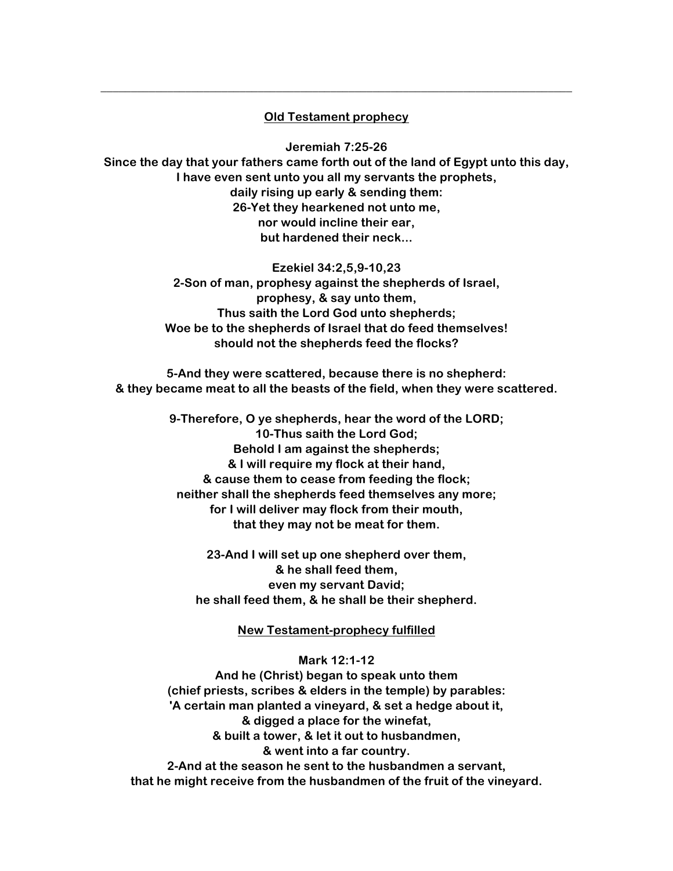### **Old Testament prophecy**

**\_\_\_\_\_\_\_\_\_\_\_\_\_\_\_\_\_\_\_\_\_\_\_\_\_\_\_\_\_\_\_\_\_\_\_\_\_\_\_\_\_\_\_\_\_\_\_\_\_\_\_\_\_\_\_\_\_\_\_\_\_\_\_\_\_\_\_\_\_\_\_\_\_\_\_\_\_\_**

**Jeremiah 7:25-26**

**Since the day that your fathers came forth out of the land of Egypt unto this day, I have even sent unto you all my servants the prophets, daily rising up early & sending them: 26-Yet they hearkened not unto me, nor would incline their ear, but hardened their neck...**

> **Ezekiel 34:2,5,9-10,23 2-Son of man, prophesy against the shepherds of Israel, prophesy, & say unto them, Thus saith the Lord God unto shepherds; Woe be to the shepherds of Israel that do feed themselves! should not the shepherds feed the flocks?**

**5-And they were scattered, because there is no shepherd: & they became meat to all the beasts of the field, when they were scattered.**

> **9-Therefore, O ye shepherds, hear the word of the LORD; 10-Thus saith the Lord God; Behold I am against the shepherds; & I will require my flock at their hand, & cause them to cease from feeding the flock; neither shall the shepherds feed themselves any more; for I will deliver may flock from their mouth, that they may not be meat for them.**

**23-And I will set up one shepherd over them, & he shall feed them, even my servant David; he shall feed them, & he shall be their shepherd.**

**New Testament-prophecy fulfilled**

**Mark 12:1-12 And he (Christ) began to speak unto them (chief priests, scribes & elders in the temple) by parables: 'A certain man planted a vineyard, & set a hedge about it, & digged a place for the winefat, & built a tower, & let it out to husbandmen, & went into a far country. 2-And at the season he sent to the husbandmen a servant,** 

**that he might receive from the husbandmen of the fruit of the vineyard.**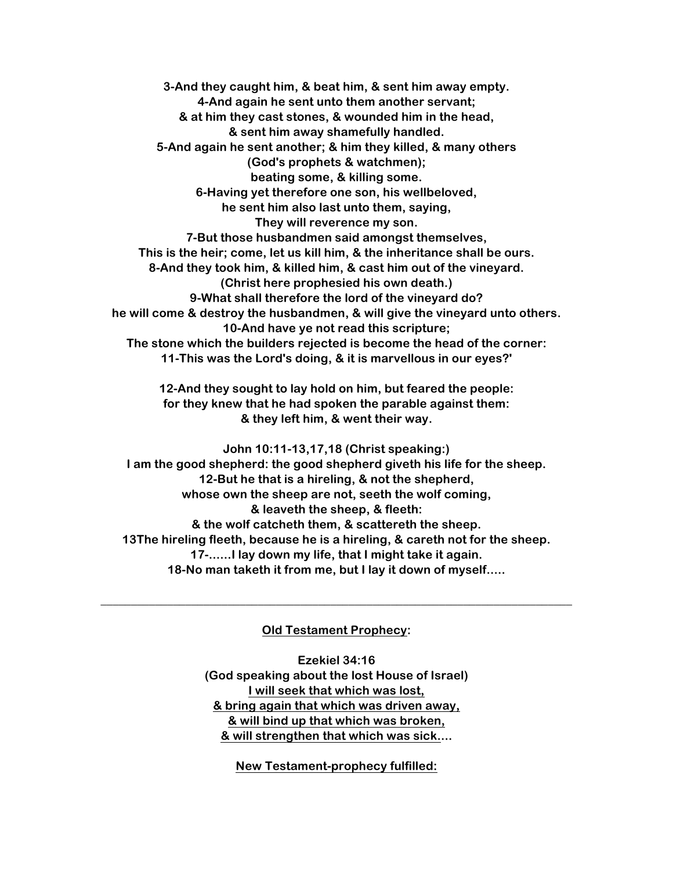**3-And they caught him, & beat him, & sent him away empty. 4-And again he sent unto them another servant; & at him they cast stones, & wounded him in the head, & sent him away shamefully handled. 5-And again he sent another; & him they killed, & many others (God's prophets & watchmen); beating some, & killing some. 6-Having yet therefore one son, his wellbeloved, he sent him also last unto them, saying, They will reverence my son. 7-But those husbandmen said amongst themselves, This is the heir; come, let us kill him, & the inheritance shall be ours. 8-And they took him, & killed him, & cast him out of the vineyard. (Christ here prophesied his own death.) 9-What shall therefore the lord of the vineyard do? he will come & destroy the husbandmen, & will give the vineyard unto others. 10-And have ye not read this scripture; The stone which the builders rejected is become the head of the corner: 11-This was the Lord's doing, & it is marvellous in our eyes?'** 

> **12-And they sought to lay hold on him, but feared the people: for they knew that he had spoken the parable against them: & they left him, & went their way.**

**John 10:11-13,17,18 (Christ speaking:) I am the good shepherd: the good shepherd giveth his life for the sheep. 12-But he that is a hireling, & not the shepherd, whose own the sheep are not, seeth the wolf coming, & leaveth the sheep, & fleeth: & the wolf catcheth them, & scattereth the sheep. 13The hireling fleeth, because he is a hireling, & careth not for the sheep. 17-......I lay down my life, that I might take it again. 18-No man taketh it from me, but I lay it down of myself.....** 

**Old Testament Prophecy:**

**\_\_\_\_\_\_\_\_\_\_\_\_\_\_\_\_\_\_\_\_\_\_\_\_\_\_\_\_\_\_\_\_\_\_\_\_\_\_\_\_\_\_\_\_\_\_\_\_\_\_\_\_\_\_\_\_\_\_\_\_\_\_\_\_\_\_\_\_\_\_\_\_\_\_\_\_\_\_**

**Ezekiel 34:16 (God speaking about the lost House of Israel) I will seek that which was lost, & bring again that which was driven away, & will bind up that which was broken, & will strengthen that which was sick....**

**New Testament-prophecy fulfilled:**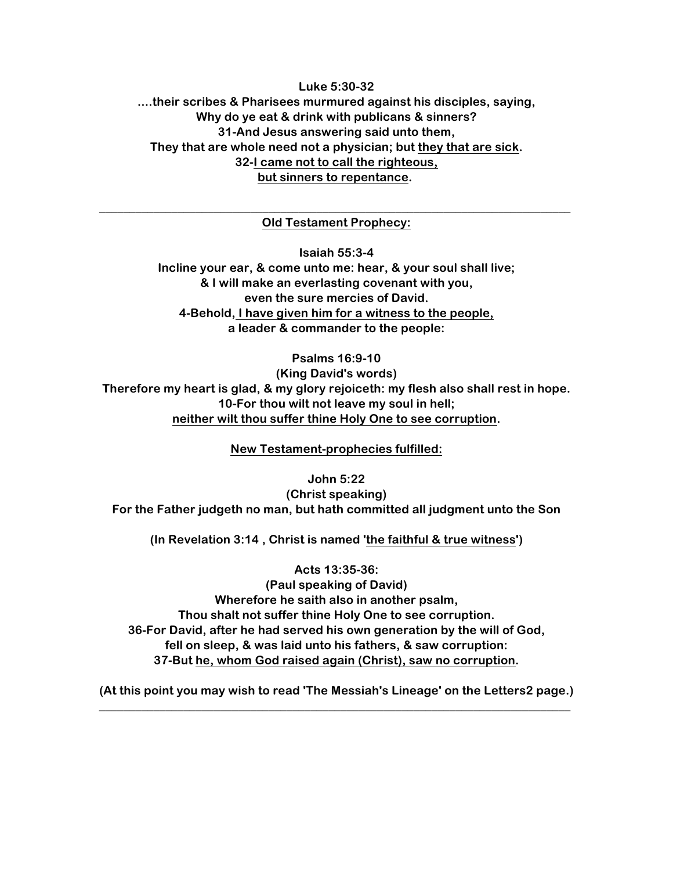# **Luke 5:30-32 ....their scribes & Pharisees murmured against his disciples, saying, Why do ye eat & drink with publicans & sinners? 31-And Jesus answering said unto them, They that are whole need not a physician; but they that are sick. 32-I came not to call the righteous, but sinners to repentance.**

## **\_\_\_\_\_\_\_\_\_\_\_\_\_\_\_\_\_\_\_\_\_\_\_\_\_\_\_\_\_\_\_\_\_\_\_\_\_\_\_\_\_\_\_\_\_\_\_\_\_\_\_\_\_\_\_\_\_\_\_\_\_\_\_\_\_\_\_\_\_\_\_\_\_\_\_\_\_\_ Old Testament Prophecy:**

**Isaiah 55:3-4 Incline your ear, & come unto me: hear, & your soul shall live; & I will make an everlasting covenant with you, even the sure mercies of David. 4-Behold, I have given him for a witness to the people, a leader & commander to the people:** 

## **Psalms 16:9-10**

**(King David's words) Therefore my heart is glad, & my glory rejoiceth: my flesh also shall rest in hope. 10-For thou wilt not leave my soul in hell; neither wilt thou suffer thine Holy One to see corruption.** 

**New Testament-prophecies fulfilled:** 

**John 5:22**

**(Christ speaking) For the Father judgeth no man, but hath committed all judgment unto the Son**

**(In Revelation 3:14 , Christ is named 'the faithful & true witness')** 

**Acts 13:35-36: (Paul speaking of David) Wherefore he saith also in another psalm, Thou shalt not suffer thine Holy One to see corruption. 36-For David, after he had served his own generation by the will of God, fell on sleep, & was laid unto his fathers, & saw corruption: 37-But he, whom God raised again (Christ), saw no corruption.** 

**(At this point you may wish to read 'The Messiah's Lineage' on the Letters2 page.) \_\_\_\_\_\_\_\_\_\_\_\_\_\_\_\_\_\_\_\_\_\_\_\_\_\_\_\_\_\_\_\_\_\_\_\_\_\_\_\_\_\_\_\_\_\_\_\_\_\_\_\_\_\_\_\_\_\_\_\_\_\_\_\_\_\_\_\_\_\_\_\_\_\_\_\_\_\_**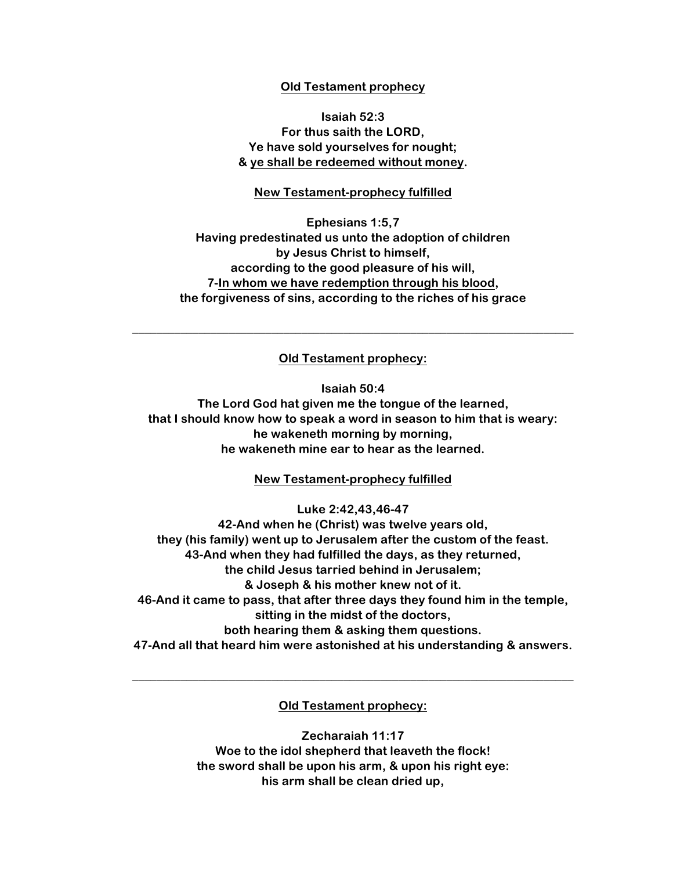#### **Old Testament prophecy**

**Isaiah 52:3 For thus saith the LORD, Ye have sold yourselves for nought; & ye shall be redeemed without money.**

#### **New Testament-prophecy fulfilled**

**Ephesians 1:5,7 Having predestinated us unto the adoption of children by Jesus Christ to himself, according to the good pleasure of his will, 7-In whom we have redemption through his blood, the forgiveness of sins, according to the riches of his grace**

#### **Old Testament prophecy:**

**\_\_\_\_\_\_\_\_\_\_\_\_\_\_\_\_\_\_\_\_\_\_\_\_\_\_\_\_\_\_\_\_\_\_\_\_\_\_\_\_\_\_\_\_\_\_\_\_\_\_\_\_\_\_\_\_\_\_\_\_\_\_\_\_\_\_\_\_\_\_\_\_\_**

**Isaiah 50:4 The Lord God hat given me the tongue of the learned, that I should know how to speak a word in season to him that is weary: he wakeneth morning by morning, he wakeneth mine ear to hear as the learned.**

#### **New Testament-prophecy fulfilled**

**Luke 2:42,43,46-47**

**42-And when he (Christ) was twelve years old, they (his family) went up to Jerusalem after the custom of the feast. 43-And when they had fulfilled the days, as they returned, the child Jesus tarried behind in Jerusalem; & Joseph & his mother knew not of it. 46-And it came to pass, that after three days they found him in the temple, sitting in the midst of the doctors, both hearing them & asking them questions. 47-And all that heard him were astonished at his understanding & answers.**

#### **Old Testament prophecy:**

**\_\_\_\_\_\_\_\_\_\_\_\_\_\_\_\_\_\_\_\_\_\_\_\_\_\_\_\_\_\_\_\_\_\_\_\_\_\_\_\_\_\_\_\_\_\_\_\_\_\_\_\_\_\_\_\_\_\_\_\_\_\_\_\_\_\_\_\_\_\_\_\_\_**

**Zecharaiah 11:17 Woe to the idol shepherd that leaveth the flock! the sword shall be upon his arm, & upon his right eye: his arm shall be clean dried up,**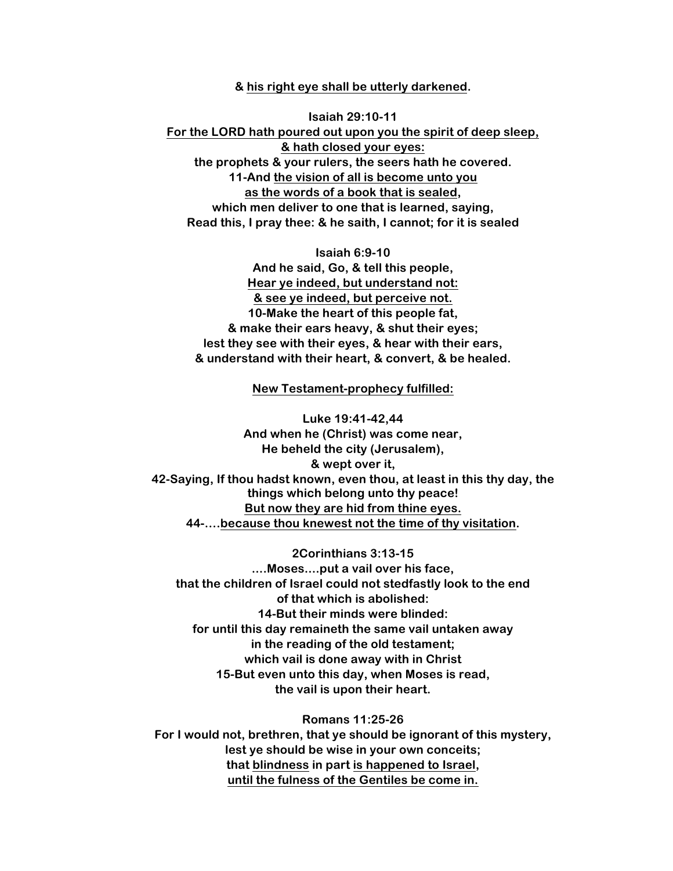#### **& his right eye shall be utterly darkened.**

**Isaiah 29:10-11 For the LORD hath poured out upon you the spirit of deep sleep, & hath closed your eyes: the prophets & your rulers, the seers hath he covered. 11-And the vision of all is become unto you as the words of a book that is sealed, which men deliver to one that is learned, saying, Read this, I pray thee: & he saith, I cannot; for it is sealed**

**Isaiah 6:9-10 And he said, Go, & tell this people, Hear ye indeed, but understand not: & see ye indeed, but perceive not. 10-Make the heart of this people fat, & make their ears heavy, & shut their eyes; lest they see with their eyes, & hear with their ears, & understand with their heart, & convert, & be healed.**

#### **New Testament-prophecy fulfilled:**

**Luke 19:41-42,44 And when he (Christ) was come near, He beheld the city (Jerusalem), & wept over it, 42-Saying, If thou hadst known, even thou, at least in this thy day, the things which belong unto thy peace! But now they are hid from thine eyes. 44-….because thou knewest not the time of thy visitation.**

**2Corinthians 3:13-15 ....Moses....put a vail over his face, that the children of Israel could not stedfastly look to the end of that which is abolished: 14-But their minds were blinded: for until this day remaineth the same vail untaken away in the reading of the old testament; which vail is done away with in Christ 15-But even unto this day, when Moses is read, the vail is upon their heart.**

**Romans 11:25-26 For I would not, brethren, that ye should be ignorant of this mystery, lest ye should be wise in your own conceits; that blindness in part is happened to Israel, until the fulness of the Gentiles be come in.**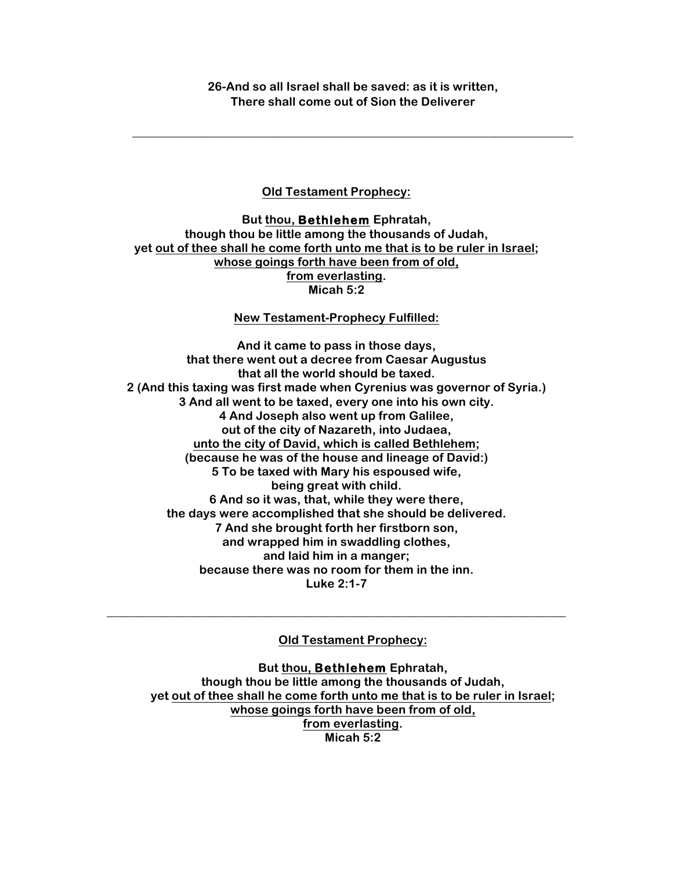**26-And so all Israel shall be saved: as it is written, There shall come out of Sion the Deliverer**

**\_\_\_\_\_\_\_\_\_\_\_\_\_\_\_\_\_\_\_\_\_\_\_\_\_\_\_\_\_\_\_\_\_\_\_\_\_\_\_\_\_\_\_\_\_\_\_\_\_\_\_\_\_\_\_\_\_\_\_\_\_\_\_\_\_\_\_\_\_\_\_\_\_**

**Old Testament Prophecy:**

**But thou, Bethlehem Ephratah, though thou be little among the thousands of Judah, yet out of thee shall he come forth unto me that is to be ruler in Israel; whose goings forth have been from of old, from everlasting. Micah 5:2**

## **New Testament-Prophecy Fulfilled:**

**And it came to pass in those days, that there went out a decree from Caesar Augustus that all the world should be taxed. 2 (And this taxing was first made when Cyrenius was governor of Syria.) 3 And all went to be taxed, every one into his own city. 4 And Joseph also went up from Galilee, out of the city of Nazareth, into Judaea, unto the city of David, which is called Bethlehem; (because he was of the house and lineage of David:) 5 To be taxed with Mary his espoused wife, being great with child. 6 And so it was, that, while they were there, the days were accomplished that she should be delivered. 7 And she brought forth her firstborn son, and wrapped him in swaddling clothes, and laid him in a manger; because there was no room for them in the inn. Luke 2:1-7**

**Old Testament Prophecy:**

**\_\_\_\_\_\_\_\_\_\_\_\_\_\_\_\_\_\_\_\_\_\_\_\_\_\_\_\_\_\_\_\_\_\_\_\_\_\_\_\_\_\_\_\_\_\_\_\_\_\_\_\_\_\_\_\_\_\_\_\_\_\_\_\_\_\_\_\_\_\_\_\_\_\_\_\_**

**But thou, Bethlehem Ephratah, though thou be little among the thousands of Judah, yet out of thee shall he come forth unto me that is to be ruler in Israel; whose goings forth have been from of old, from everlasting. Micah 5:2**